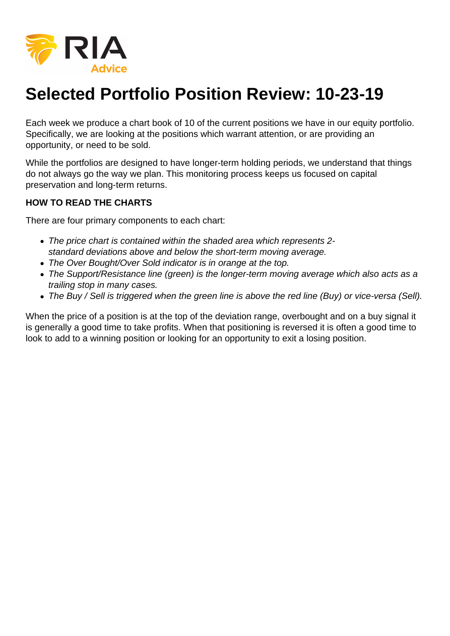

## **Selected Portfolio Position Review: 10-23-19**

Each week we produce a chart book of 10 of the current positions we have in our equity portfolio. Specifically, we are looking at the positions which warrant attention, or are providing an opportunity, or need to be sold.

While the portfolios are designed to have longer-term holding periods, we understand that things do not always go the way we plan. This monitoring process keeps us focused on capital preservation and long-term returns.

## **HOW TO READ THE CHARTS**

There are four primary components to each chart:

- The price chart is contained within the shaded area which represents 2 standard deviations above and below the short-term moving average.
- The Over Bought/Over Sold indicator is in orange at the top.
- The Support/Resistance line (green) is the longer-term moving average which also acts as a trailing stop in many cases.
- The Buy / Sell is triggered when the green line is above the red line (Buy) or vice-versa (Sell).

When the price of a position is at the top of the deviation range, overbought and on a buy signal it is generally a good time to take profits. When that positioning is reversed it is often a good time to look to add to a winning position or looking for an opportunity to exit a losing position.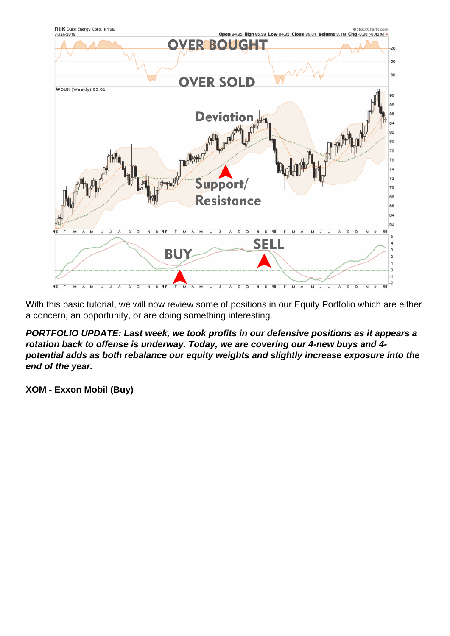With this basic tutorial, we will now review some of positions in our Equity Portfolio which are either a concern, an opportunity, or are doing something interesting.

PORTFOLIO UPDATE: Last week, we took profits in our defensive positions as it appears a rotation back to offense is underway. Today, we are covering our 4-new buys and 4 potential adds as both rebalance our equity weights and slightly increase exposure into the end of the year.

XOM - Exxon Mobil (Buy)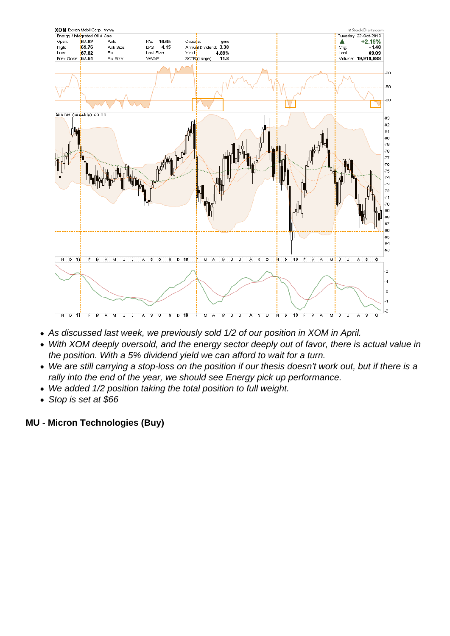- As discussed last week, we previously sold 1/2 of our position in XOM in April.
- With XOM deeply oversold, and the energy sector deeply out of favor, there is actual value in the position. With a 5% dividend yield we can afford to wait for a turn.
- We are still carrying a stop-loss on the position if our thesis doesn't work out, but if there is a rally into the end of the year, we should see Energy pick up performance.
- We added 1/2 position taking the total position to full weight.
- Stop is set at \$66

MU - Micron Technologies (Buy)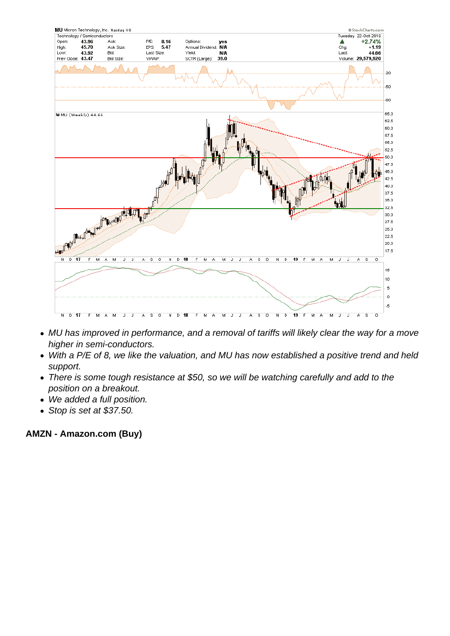- MU has improved in performance, and a removal of tariffs will likely clear the way for a move higher in semi-conductors.
- With a P/E of 8, we like the valuation, and MU has now established a positive trend and held support.
- There is some tough resistance at \$50, so we will be watching carefully and add to the position on a breakout.
- We added a full position.
- Stop is set at \$37.50.

AMZN - Amazon.com (Buy)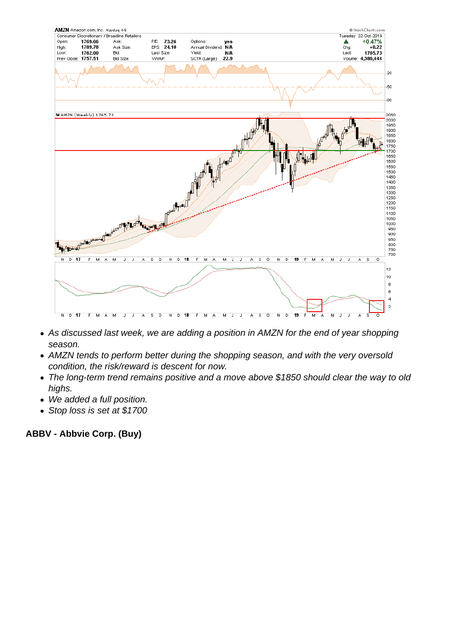- As discussed last week, we are adding a position in AMZN for the end of year shopping season.
- AMZN tends to perform better during the shopping season, and with the very oversold condition, the risk/reward is descent for now.
- The long-term trend remains positive and a move above \$1850 should clear the way to old highs.
- We added a full position.
- Stop loss is set at \$1700

ABBV - Abbvie Corp. (Buy)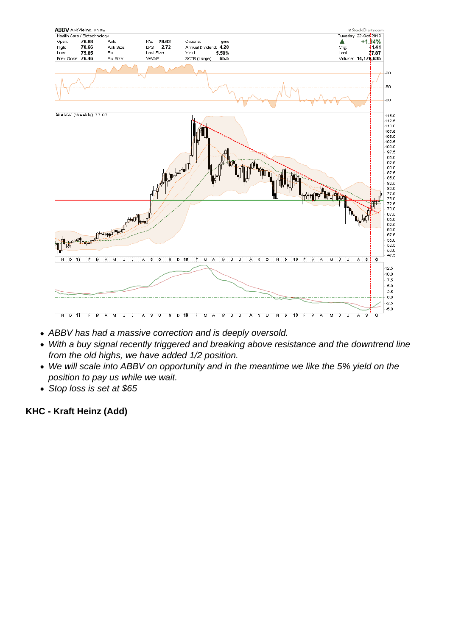- ABBV has had a massive correction and is deeply oversold.
- With a buy signal recently triggered and breaking above resistance and the downtrend line from the old highs, we have added 1/2 position.
- We will scale into ABBV on opportunity and in the meantime we like the 5% yield on the position to pay us while we wait.
- Stop loss is set at \$65

KHC - Kraft Heinz (Add)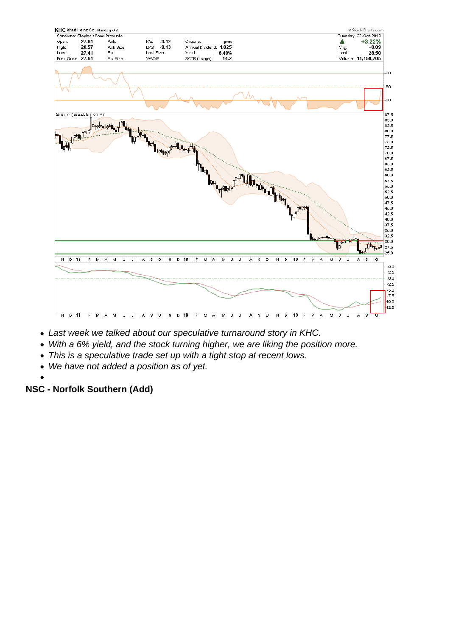- Last week we talked about our speculative turnaround story in KHC.
- With a 6% yield, and the stock turning higher, we are liking the position more.
- This is a speculative trade set up with a tight stop at recent lows.
- We have not added a position as of yet.
- 

NSC - Norfolk Southern (Add)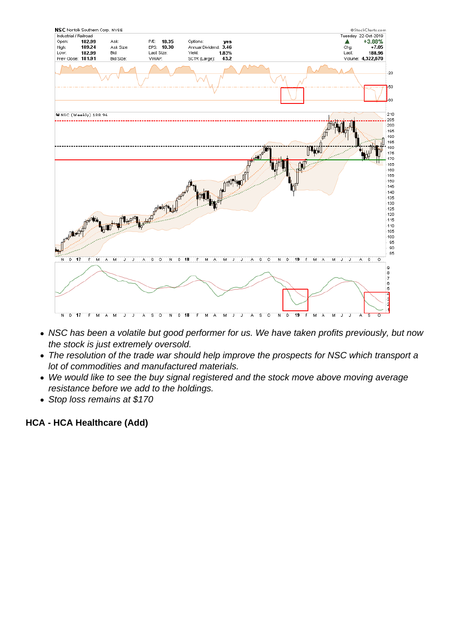- NSC has been a volatile but good performer for us. We have taken profits previously, but now the stock is just extremely oversold.
- The resolution of the trade war should help improve the prospects for NSC which transport a lot of commodities and manufactured materials.
- We would like to see the buy signal registered and the stock move above moving average resistance before we add to the holdings.
- Stop loss remains at \$170

HCA - HCA Healthcare (Add)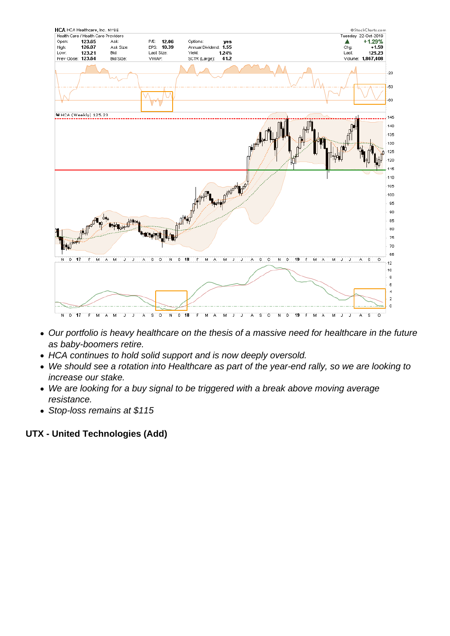- Our portfolio is heavy healthcare on the thesis of a massive need for healthcare in the future as baby-boomers retire.
- HCA continues to hold solid support and is now deeply oversold.
- We should see a rotation into Healthcare as part of the year-end rally, so we are looking to increase our stake.
- We are looking for a buy signal to be triggered with a break above moving average resistance.
- Stop-loss remains at \$115

UTX - United Technologies (Add)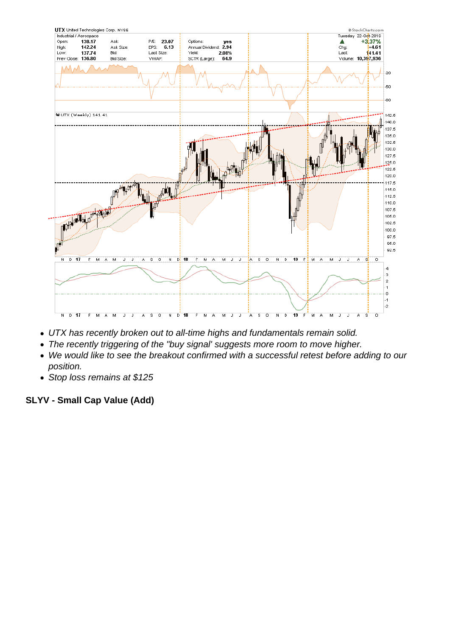- UTX has recently broken out to all-time highs and fundamentals remain solid.
- The recently triggering of the "buy signal' suggests more room to move higher.
- We would like to see the breakout confirmed with a successful retest before adding to our position.
- Stop loss remains at \$125

SLYV - Small Cap Value (Add)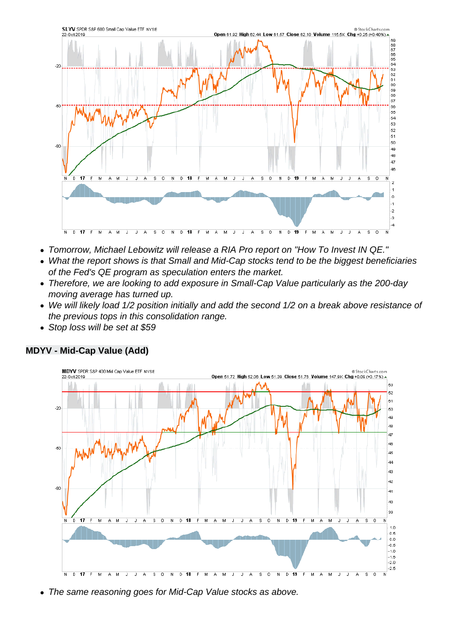- Tomorrow, Michael Lebowitz will release a RIA Pro report on "How To Invest IN QE."
- What the report shows is that Small and Mid-Cap stocks tend to be the biggest beneficiaries of the Fed's QE program as speculation enters the market.
- Therefore, we are looking to add exposure in Small-Cap Value particularly as the 200-day moving average has turned up.
- We will likely load 1/2 position initially and add the second 1/2 on a break above resistance of the previous tops in this consolidation range.
- Stop loss will be set at \$59

MDYV - Mid-Cap Value (Add)

The same reasoning goes for Mid-Cap Value stocks as above.